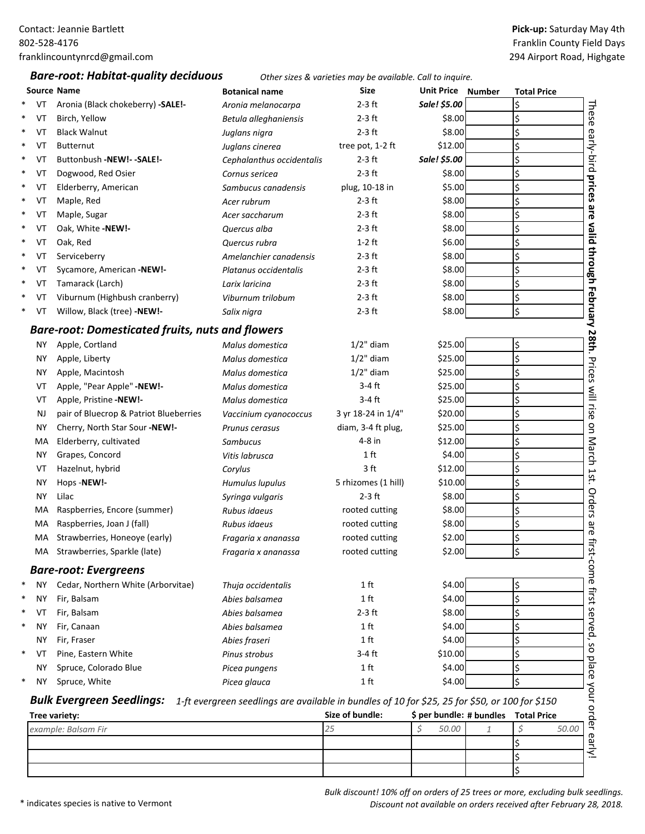## *Bare‐root: Habitat‐quality deciduous Other sizes & varieties may be available. Call to inquire.*

## **Pick‐up:** Saturday May 4th Franklin County Field Days 294 Airport Road, Highgate

|              | <b>Source Name</b>                                      | <b>Botanical name</b>                                                                           | Size                | <b>Unit Price Number</b> | <b>Total Price</b>                   |                            |
|--------------|---------------------------------------------------------|-------------------------------------------------------------------------------------------------|---------------------|--------------------------|--------------------------------------|----------------------------|
| $\ast$<br>VT | Aronia (Black chokeberry) - SALE!-                      | Aronia melanocarpa                                                                              | $2-3$ ft            | Sale! \$5.00             | \$                                   |                            |
| $\ast$<br>VT | Birch, Yellow                                           | Betula alleghaniensis                                                                           | 2-3 ft              | \$8.00                   | \$                                   | These                      |
| $\ast$<br>VT | <b>Black Walnut</b>                                     | Juglans nigra                                                                                   | $2-3$ ft            | \$8.00                   | \$                                   |                            |
| VT<br>$\ast$ | <b>Butternut</b>                                        | Juglans cinerea                                                                                 | tree pot, 1-2 ft    | \$12.00                  | \$                                   |                            |
| $\ast$<br>VT | Buttonbush -NEW!- - SALE!-                              | Cephalanthus occidentalis                                                                       | $2-3$ ft            | Sale! \$5.00             | \$                                   |                            |
| $\ast$<br>VT | Dogwood, Red Osier                                      | Cornus sericea                                                                                  | $2-3$ ft            | \$8.00                   | \$                                   |                            |
| $\ast$<br>VT | Elderberry, American                                    | Sambucus canadensis                                                                             | plug, 10-18 in      | \$5.00                   | \$                                   |                            |
| $\ast$<br>VT | Maple, Red                                              | Acer rubrum                                                                                     | $2-3$ ft            | \$8.00                   | \$                                   |                            |
| $\ast$<br>VT | Maple, Sugar                                            | Acer saccharum                                                                                  | $2-3$ ft            | \$8.00                   | \$                                   | are valid through          |
| VT<br>$\ast$ | Oak, White -NEW!-                                       | Quercus alba                                                                                    | $2-3$ ft            | \$8.00                   | \$                                   |                            |
| $\ast$<br>VT | Oak, Red                                                | Quercus rubra                                                                                   | $1-2$ ft            | \$6.00                   | \$                                   |                            |
| $\ast$<br>VT | Serviceberry                                            | Amelanchier canadensis                                                                          | $2-3$ ft            | \$8.00                   | \$                                   |                            |
| $\ast$<br>VT | Sycamore, American -NEW!-                               | Platanus occidentalis                                                                           | $2-3$ ft            | \$8.00                   | \$                                   |                            |
| $\ast$<br>VT | Tamarack (Larch)                                        | Larix laricina                                                                                  | $2-3$ ft            | \$8.00                   | \$                                   |                            |
| $\ast$<br>VT | Viburnum (Highbush cranberry)                           | Viburnum trilobum                                                                               | $2-3$ ft            | \$8.00                   | \$                                   |                            |
| $\ast$<br>VT | Willow, Black (tree) -NEW!-                             | Salix nigra                                                                                     | $2-3$ ft            | \$8.00                   | \$                                   |                            |
|              | <b>Bare-root: Domesticated fruits, nuts and flowers</b> |                                                                                                 |                     |                          |                                      |                            |
| NΥ           | Apple, Cortland                                         | Malus domestica                                                                                 | $1/2$ " diam        | \$25.00                  | \$                                   |                            |
| ΝY           | Apple, Liberty                                          | Malus domestica                                                                                 | $1/2$ " diam        | \$25.00                  | \$                                   |                            |
| ΝY           | Apple, Macintosh                                        | Malus domestica                                                                                 | $1/2$ " diam        | \$25.00                  | \$                                   |                            |
| VT           | Apple, "Pear Apple" -NEW!-                              | Malus domestica                                                                                 | $3-4$ ft            | \$25.00                  | \$                                   |                            |
| VT           | Apple, Pristine -NEW!-                                  | Malus domestica                                                                                 | $3-4$ ft            | \$25.00                  | \$                                   |                            |
| NJ           | pair of Bluecrop & Patriot Blueberries                  | Vaccinium cyanococcus                                                                           | 3 yr 18-24 in 1/4"  | \$20.00                  | \$                                   |                            |
| ΝY           | Cherry, North Star Sour -NEW!-                          | Prunus cerasus                                                                                  | diam, 3-4 ft plug,  | \$25.00                  | \$                                   |                            |
| МA           | Elderberry, cultivated                                  | Sambucus                                                                                        | 4-8 in              | \$12.00                  | \$                                   |                            |
| ΝY           | Grapes, Concord                                         | Vitis labrusca                                                                                  | 1 <sub>ft</sub>     | \$4.00                   | \$                                   |                            |
| VT           | Hazelnut, hybrid                                        | Corylus                                                                                         | 3 ft                | \$12.00                  | \$                                   |                            |
| ΝY           | Hops-NEW!-                                              | Humulus lupulus                                                                                 | 5 rhizomes (1 hill) | \$10.00                  | \$                                   |                            |
| NY.          | Lilac                                                   | Syringa vulgaris                                                                                | $2-3$ ft            | \$8.00                   | \$                                   |                            |
| MA           | Raspberries, Encore (summer)                            | Rubus idaeus                                                                                    | rooted cutting      | \$8.00                   | \$                                   |                            |
| МA           | Raspberries, Joan J (fall)                              | Rubus idaeus                                                                                    | rooted cutting      | \$8.00                   | \$                                   |                            |
| MA           | Strawberries, Honeoye (early)                           | Fragaria x ananassa                                                                             | rooted cutting      | \$2.00                   | \$                                   |                            |
| MA           | Strawberries, Sparkle (late)                            | Fragaria x ananassa                                                                             | rooted cutting      | \$2.00                   | $\overline{\mathsf{S}}$              |                            |
|              | <b>Bare-root: Evergreens</b>                            |                                                                                                 |                     |                          |                                      |                            |
| <b>NY</b>    | Cedar, Northern White (Arborvitae)                      | Thuja occidentalis                                                                              | 1 <sub>ft</sub>     | \$4.00                   | \$                                   |                            |
| NΥ           | Fir, Balsam                                             | Abies balsamea                                                                                  | 1 <sub>ft</sub>     | \$4.00                   | \$                                   |                            |
| VT           | Fir, Balsam                                             | Abies balsamea                                                                                  | 2-3 ft              | \$8.00                   | \$                                   |                            |
| NΥ           | Fir, Canaan                                             | Abies balsamea                                                                                  | 1 <sub>ft</sub>     | \$4.00                   | \$                                   |                            |
| <b>NY</b>    | Fir, Fraser                                             | Abies fraseri                                                                                   | 1 <sub>ft</sub>     | \$4.00                   | \$                                   |                            |
| $\ast$<br>VT | Pine, Eastern White                                     | Pinus strobus                                                                                   | $3-4$ ft            | \$10.00                  | \$                                   |                            |
| ΝY           | Spruce, Colorado Blue                                   | Picea pungens                                                                                   | 1 <sub>ft</sub>     | \$4.00                   | \$                                   |                            |
| $\ast$<br>ΝY | Spruce, White                                           | Picea glauca                                                                                    | 1 <sub>ft</sub>     | \$4.00                   | \$                                   |                            |
|              |                                                         |                                                                                                 |                     |                          |                                      |                            |
|              | <b>Bulk Evergreen Seedlings:</b>                        | 1-ft evergreen seedlings are available in bundles of 10 for \$25, 25 for \$50, or 100 for \$150 |                     |                          |                                      | so place your order early! |
|              | Tree variety:                                           |                                                                                                 | Size of bundle:     |                          | \$ per bundle: # bundles Total Price |                            |
|              | example: Balsam Fir                                     |                                                                                                 | 25                  | Ś<br>50.00               | \$<br>50.00<br>$\mathbf{1}$          |                            |
|              |                                                         |                                                                                                 |                     |                          | \$                                   |                            |
|              |                                                         |                                                                                                 |                     |                          | \$                                   |                            |
|              |                                                         |                                                                                                 |                     |                          | \$                                   |                            |

\* indicates species is native to Vermont

*Bulk discount! 10% off on orders of 25 trees or more, excluding bulk seedlings. Discount not available on orders received after February 28, 2018.*